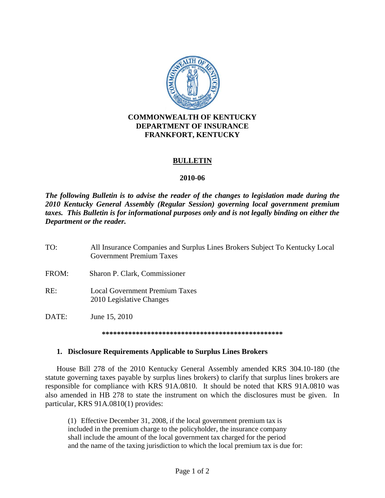

## **BULLETIN**

## **2010-06**

*The following Bulletin is to advise the reader of the changes to legislation made during the 2010 Kentucky General Assembly (Regular Session) governing local government premium taxes. This Bulletin is for informational purposes only and is not legally binding on either the Department or the reader.*

- TO: All Insurance Companies and Surplus Lines Brokers Subject To Kentucky Local Government Premium Taxes
- FROM: Sharon P. Clark, Commissioner
- RE: Local Government Premium Taxes 2010 Legislative Changes
- DATE: June 15, 2010

**\*\*\*\*\*\*\*\*\*\*\*\*\*\*\*\*\*\*\*\*\*\*\*\*\*\*\*\*\*\*\*\*\*\*\*\*\*\*\*\*\*\*\*\*\*\*\*\***

## **1. Disclosure Requirements Applicable to Surplus Lines Brokers**

House Bill 278 of the 2010 Kentucky General Assembly amended KRS 304.10-180 (the statute governing taxes payable by surplus lines brokers) to clarify that surplus lines brokers are responsible for compliance with KRS 91A.0810. It should be noted that KRS 91A.0810 was also amended in HB 278 to state the instrument on which the disclosures must be given. In particular, KRS 91A.0810(1) provides:

(1) Effective December 31, 2008, if the local government premium tax is included in the premium charge to the policyholder, the insurance company shall include the amount of the local government tax charged for the period and the name of the taxing jurisdiction to which the local premium tax is due for: